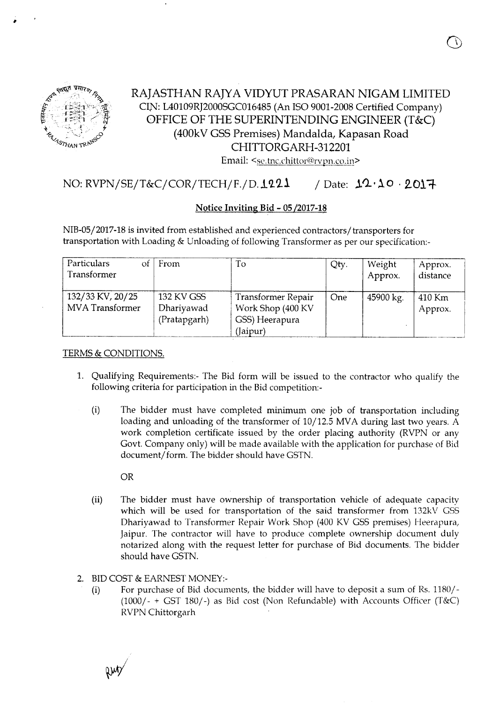

,

## RAJASTHAN RAJYA VIDYUT PRASARAN NIGAM LIMITED CIN: L40109R]2000SGC016485(An ISO 9001-2008Certified Company) OFFICE OF THE SUPERINTENDING ENGINEER (T&C) (400kV GSS Premises) Mandalda, Kapasan Road CHITTORGARH-312201 Email: <se.tnc.chittor@rvpn.co.in>

## $NO: RVPN/SE/T&C/COR/TECH/F. / D.1221$  / Date:  $12.10.2017$

### Notice Inviting Bid - OS/2017-18

NIB-05/2017-18 is invited from established and experienced contractors/transporters for transportation with Loading & Unloading of following Transformer as per our specification:-

| Particulars<br>Ωt<br>Transformer    | From                                     | To                                                                    | Qty.       | Weight<br>Approx. | Approx.<br>distance |
|-------------------------------------|------------------------------------------|-----------------------------------------------------------------------|------------|-------------------|---------------------|
| 132/33 KV, 20/25<br>MVA Transformer | 132 KV GSS<br>Dhariyawad<br>(Pratapgarh) | Transformer Repair<br>Work Shop (400 KV<br>GSS) Heerapura<br>(Jaipur) | <b>One</b> | 45900 kg.         | 410 Km<br>Approx.   |

#### TERMS& CONDITIONS.

- 1. Qualifying Requirements:- The Bid form will be issued to the contractor who qualify the following criteria for participation in the Bid competition:-
	- (i) The bidder must have completed minimum one job of transportation including loading and unloading of the transformer of 10/12.5 MVA during last two years. A work completion certificate issued by the order placing authority (RVPN or any Govt. Company only) will be made available with the application for purchase of Bid document/form. The bidder should have GSTN.

OR

- (ii) The bidder must have ownership of transportation vehicle of adequate capacity which will be used for transportation of the said transformer from 132kV GSS Dhariyawad to Transformer Repair Work Shop (400 KV GSS premises) Heerapura, Jaipur. The contractor will have to produce complete ownership document duly notarized along with the request letter for purchase of Bid documents. The bidder should have GSTN.
- 2. BID COST & EARNEST MONEY:-
	- (i) For purchase of Bid documents, the bidder will have to deposit a sum of Rs. 1180/- (1000/- + GST 180/-) as Bid cost (Non Refundable) with Accounts Officer (T&C) RVPN Chittorgarh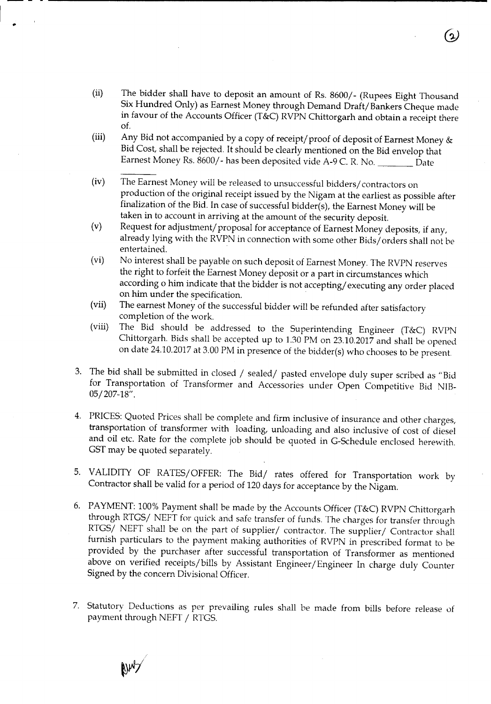- (ii) The bidder shall have to deposit an amount of Rs. 8600/- (Rupees Eight Thousand Six Hundred Only) as Earnest Money through Demand Draft/Bankers Cheque made in favour of the Accounts Officer (T&C) RVPN Chittorgarh and obtain a receipt there of.
- (iii) Any Bid not accompanied by a copy of receipt/ proof of deposit of Earnest Money & Bid Cost, shall be rejected. It should be clearly mentioned on the Bid envelop that Earnest Money Rs. 8600/- has been deposited vide A-9 C. R. No. Date
- (iv) The Earnest Money will be released to unsuccessful bidders/ contractors on production of the original receipt issued by the Nigam at the earliest as possible after finalization of the Bid. In case of successful bidder(s), the Earnest Money will be taken in to account in arriving at the amount of the security deposit.
- (v) Request for adjustment/ proposal for acceptance of Earnest Money deposits, if any, already lying with the RVPN in connection with some other Bids/ orders shall not be entertained.
- (vi) No interest shall be payable on such deposit of Earnest Money. The RVPN reserves the right to forfeit the Earnest Money deposit or a part in circumstances which according 0 him indicate that the bidder is not accepting/ executing any order placed on him under the specification. .
- (vii) The earnest Money of the successful bidder will be refunded after satisfactory completion of the work.
- (viii) The Bid should be addressed to the Superintending Engineer (T&C) RVPN Chittorgarh. Bids shall be accepted up to 1.30 PM on 23.10.2017 and shall be opened on date 24.10.2017 at 3.00 PM in presence of the bidder(s) who chooses to be present.
- 3. The bid shall be submitted in closed / sealed/ pasted envelope duly super scribed as "Bid for Transportation of Transformer and Accessories under Open Competitive Bid NIB-OS/207-18".
- 4. PRICES: Quoted Prices shall be complete and firm inclusive of insurance and other charges, transportation of transformer with loading, unloading and also inclusive of cost of diesel and oil etc. Rate for the complete job should be quoted in G-Schedule enclosed herewith. GST may be quoted separately.
- 5. VALIDITY OF RATES/OFFER: The Bid/ rates offered for Transportation work by Contractor shall be valid for a period of 120 days for acceptance by the Nigam.
- 6. PAYMENT: 100% Payment shall be made by the Accounts Officer (T&C) RVPN Chittorgarh through RTGS/ NEFT for quick and safe transfer of funds. The charges for transfer through RTGS/ NEFT shall be on the part of supplier/ contractor. The supplier/ Contractor shall furnish particulars to the payment making authorities of RVPN in prescribed format to be provided by the purchaser after successful transportation of Transformer as mentioned above on verified receipts/bills by Assistant Engineer/Engineer In charge duly Counter Signed by the concern Divisional Officer.
- 7. Statutory Deductions as per prevailing rules shall be made from bills before release of payment through NEFT / RTGS.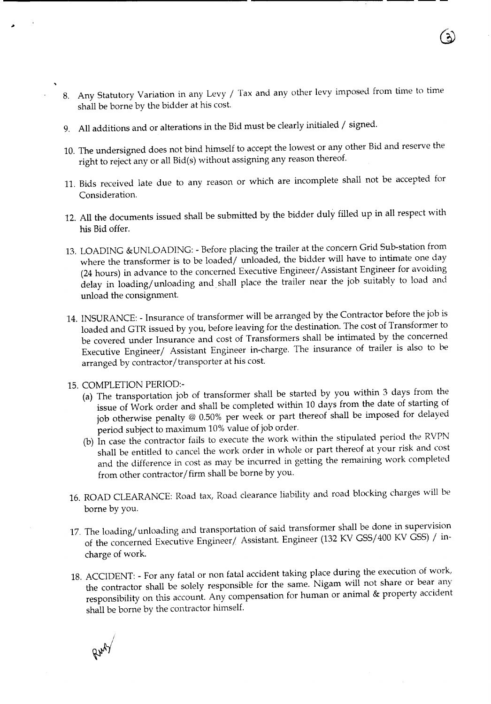- 8. Any Statutory Variation in any Levy / Tax and any other levy imposed from time to time shall be borne by the bidder at his cost.
- 9. All additions and or alterations in the Bid must be clearly initialed / signed.

**------------------------------------------------------------------**

- 10. The undersigned does not bind himself to accept the lowest or any other Bid and reserve the right to reject any or all Bid(s) without assigning any reason thereof.
- 11. Bids received late due to any reason or which are incomplete shall not be accepted for Consideration.
- 12. All the documents issued shall be submitted by the bidder duly filled up in all respect with his Bid offer.
- 13. LOADING &UNLOADING: Before placing the trailer at the concern Grid Sub-station from where the transformer is to be loaded/ unloaded, the bidder will have to intimate one day (24 hours) in advance to the concerned Executive Engineer/ Assistant Engineer for avoiding delay in loading/unloading and shall place the trailer near the job suitably to load and unload the consignment.
- 14. INSURANCE: Insurance of transformer will be arranged by the Contractor before the job is loaded and GTR issued by you, before leaving for the destination. The cost of Transformer to be covered under Insurance and cost of Transformers shall be intimated by the concerned Executive Engineer/ Assistant Engineer in-charge. The insurance of trailer is also to be arranged by contractor/transporter at his cost.
- 15. COMPLETION PERIOD:-
	- (a) The transportation job of transformer shall be started by you within 3 days from the issue of Work order and shall be completed within 10 days from the date of starting of job otherwise penalty @ 0.50% per week or part thereof shall be imposed for delayed period subject to maximum 10% value of job order.
	- (b) In case the contractor fails to execute the work within the stipulated period the RVPN shall be entitled to cancel the work order in whole or part thereof at your risk and cost and the difference in cost as may be incurred in getting the remaining work completed from other contractor/firm shall be borne by you.
- 16. ROAD CLEARANCE: Road tax, Road clearance liability and road blocking charges will be borne by you.
- 17. The loading/unloading and transportation of said transformer shall be done in supervision of the concerned Executive Engineer/ Assistant. Engineer (132 KV GSS/400 KV GSS) / incharge of work.
- 18. ACCIDENT: For any fatal or non fatal accident taking place during the execution of work, the contractor shall be solely responsible for the same. Nigam will not share or bear any responsibility on this account. Any compensation for human or animal & property accident shall be borne by the contractor himself.

Rus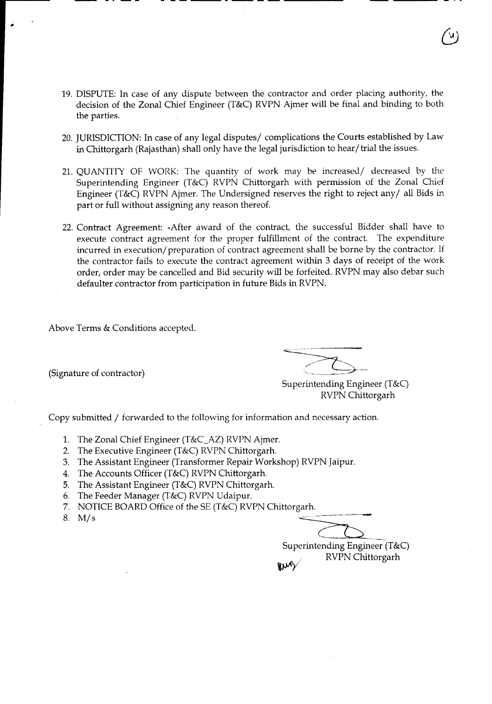19. DISPUTE: In case of any dispute between the contractor and order placing authority, the decision of the Zonal Chief Engineer (T&C) RVPN Ajmer will be final and binding to both the parties.

- **---------------**

- 20. JURISDICTION: In case of any legal disputes/ complications the Courts established by Law in Chittorgarh (Rajasthan) shall only have the legal jurisdiction to hear/trial the issues.
- 21. QUANTITY OF WORK: The quantity of work may be increased/ decreased by the Superintending Engineer (T&C) RVPN Chittorgarh with permission of the Zonal Chief Engineer (T&C) RVPN Ajmer. The Undersigned reserves the right to reject any/ all Bids in part or full without assigning any reason thereof.
- 22. Contract Agreement: -After award of the contract, the successful Bidder shall have to execute contract agreement for the proper fulfillment of the contract. The expenditure incurred in execution/ preparation of contract agreement shall be borne by the contractor. If the contractor fails to execute the contract agreement within 3 days of receipt of the work order, order may be cancelled and Bid security will be forfeited. RVPN may also debar such defaulter contractor from participation in future Bids in RVPN.

Above Terms & Conditions accepted.

(Signature of contractor)

•

Superintending Engineer (T&C) RVPN Chittorgarh

Copy submitted *I* forwarded to the following for information and necessary action.

- 1. The Zonal Chief Engineer (T&C\_AZ) RVPN Ajmer.
- 2. The Executive Engineer (T&C) RVPN Chittorgarh.
- 3. The Assistant Engineer (Transformer Repair Workshop) RVPN Jaipur.
- 4. The Accounts Officer (T&C) RVPN Chittorgarh.
- 5. The Assistant Engineer (T&C) RVPN Chittorgarh.
- 6. The Feeder Manager (T&C) RVPN Udaipur.
- 7. NOTICE BOARD Office of the SE (T&C) RVPN Chittorgarh.
- *8. Mis*

Superintending Engineer (T&C) RVPN Chittorgarh